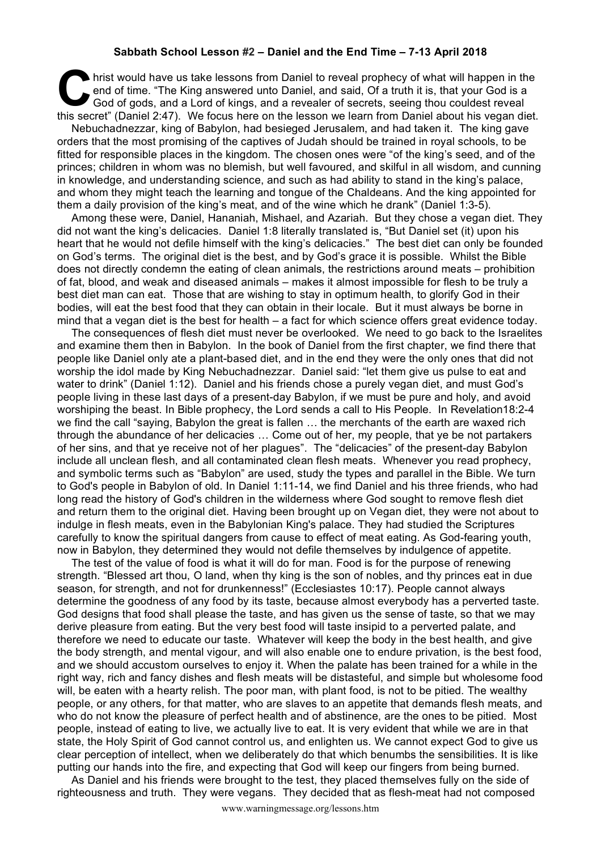## **Sabbath School Lesson #2 – Daniel and the End Time – 7-13 April 2018**

hrist would have us take lessons from Daniel to reveal prophecy of what will happen in the end of time. "The King answered unto Daniel, and said, Of a truth it is, that your God is a God of gods, and a Lord of kings, and a revealer of secrets, seeing thou couldest reveal hrist would have us take lessons from Daniel to reveal prophecy of what will happen in the end of time. "The King answered unto Daniel, and said, Of a truth it is, that your God is a God of gods, and a Lord of kings, and a

Nebuchadnezzar, king of Babylon, had besieged Jerusalem, and had taken it. The king gave orders that the most promising of the captives of Judah should be trained in royal schools, to be fitted for responsible places in the kingdom. The chosen ones were "of the king's seed, and of the princes; children in whom was no blemish, but well favoured, and skilful in all wisdom, and cunning in knowledge, and understanding science, and such as had ability to stand in the king's palace, and whom they might teach the learning and tongue of the Chaldeans. And the king appointed for them a daily provision of the king's meat, and of the wine which he drank" (Daniel 1:3-5).

Among these were, Daniel, Hananiah, Mishael, and Azariah. But they chose a vegan diet. They did not want the king's delicacies. Daniel 1:8 literally translated is, "But Daniel set (it) upon his heart that he would not defile himself with the king's delicacies." The best diet can only be founded on God's terms. The original diet is the best, and by God's grace it is possible. Whilst the Bible does not directly condemn the eating of clean animals, the restrictions around meats – prohibition of fat, blood, and weak and diseased animals – makes it almost impossible for flesh to be truly a best diet man can eat. Those that are wishing to stay in optimum health, to glorify God in their bodies, will eat the best food that they can obtain in their locale. But it must always be borne in mind that a vegan diet is the best for health – a fact for which science offers great evidence today.

The consequences of flesh diet must never be overlooked. We need to go back to the Israelites and examine them then in Babylon. In the book of Daniel from the first chapter, we find there that people like Daniel only ate a plant-based diet, and in the end they were the only ones that did not worship the idol made by King Nebuchadnezzar. Daniel said: "let them give us pulse to eat and water to drink" (Daniel 1:12). Daniel and his friends chose a purely vegan diet, and must God's people living in these last days of a present-day Babylon, if we must be pure and holy, and avoid worshiping the beast. In Bible prophecy, the Lord sends a call to His People. In Revelation18:2-4 we find the call "saying, Babylon the great is fallen … the merchants of the earth are waxed rich through the abundance of her delicacies … Come out of her, my people, that ye be not partakers of her sins, and that ye receive not of her plagues". The "delicacies" of the present-day Babylon include all unclean flesh, and all contaminated clean flesh meats. Whenever you read prophecy, and symbolic terms such as "Babylon" are used, study the types and parallel in the Bible. We turn to God's people in Babylon of old. In Daniel 1:11-14, we find Daniel and his three friends, who had long read the history of God's children in the wilderness where God sought to remove flesh diet and return them to the original diet. Having been brought up on Vegan diet, they were not about to indulge in flesh meats, even in the Babylonian King's palace. They had studied the Scriptures carefully to know the spiritual dangers from cause to effect of meat eating. As God-fearing youth, now in Babylon, they determined they would not defile themselves by indulgence of appetite.

The test of the value of food is what it will do for man. Food is for the purpose of renewing strength. "Blessed art thou, O land, when thy king is the son of nobles, and thy princes eat in due season, for strength, and not for drunkenness!" (Ecclesiastes 10:17). People cannot always determine the goodness of any food by its taste, because almost everybody has a perverted taste. God designs that food shall please the taste, and has given us the sense of taste, so that we may derive pleasure from eating. But the very best food will taste insipid to a perverted palate, and therefore we need to educate our taste. Whatever will keep the body in the best health, and give the body strength, and mental vigour, and will also enable one to endure privation, is the best food, and we should accustom ourselves to enjoy it. When the palate has been trained for a while in the right way, rich and fancy dishes and flesh meats will be distasteful, and simple but wholesome food will, be eaten with a hearty relish. The poor man, with plant food, is not to be pitied. The wealthy people, or any others, for that matter, who are slaves to an appetite that demands flesh meats, and who do not know the pleasure of perfect health and of abstinence, are the ones to be pitied. Most people, instead of eating to live, we actually live to eat. It is very evident that while we are in that state, the Holy Spirit of God cannot control us, and enlighten us. We cannot expect God to give us clear perception of intellect, when we deliberately do that which benumbs the sensibilities. It is like putting our hands into the fire, and expecting that God will keep our fingers from being burned.

As Daniel and his friends were brought to the test, they placed themselves fully on the side of righteousness and truth. They were vegans. They decided that as flesh-meat had not composed